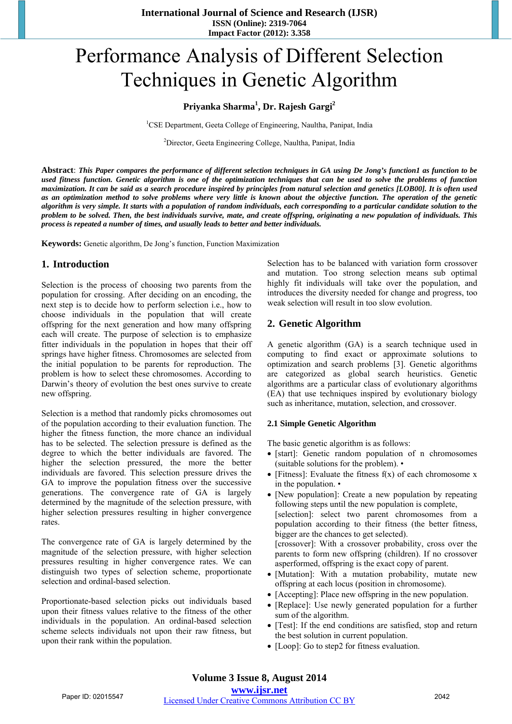# Performance Analysis of Different Selection Techniques in Genetic Algorithm

## **Priyanka Sharma<sup>1</sup> , Dr. Rajesh Gargi2**

<sup>1</sup>CSE Department, Geeta College of Engineering, Naultha, Panipat, India

2 Director, Geeta Engineering College, Naultha, Panipat, India

**Abstract**: *This Paper compares the performance of different selection techniques in GA using De Jong's function1 as function to be used fitness function. Genetic algorithm is one of the optimization techniques that can be used to solve the problems of function maximization. It can be said as a search procedure inspired by principles from natural selection and genetics [LOB00]. It is often used as an optimization method to solve problems where very little is known about the objective function. The operation of the genetic algorithm is very simple. It starts with a population of random individuals, each corresponding to a particular candidate solution to the problem to be solved. Then, the best individuals survive, mate, and create offspring, originating a new population of individuals. This process is repeated a number of times, and usually leads to better and better individuals.* 

**Keywords:** Genetic algorithm, De Jong's function, Function Maximization

# **1. Introduction**

Selection is the process of choosing two parents from the population for crossing. After deciding on an encoding, the next step is to decide how to perform selection i.e., how to choose individuals in the population that will create offspring for the next generation and how many offspring each will create. The purpose of selection is to emphasize fitter individuals in the population in hopes that their off springs have higher fitness. Chromosomes are selected from the initial population to be parents for reproduction. The problem is how to select these chromosomes. According to Darwin's theory of evolution the best ones survive to create new offspring.

Selection is a method that randomly picks chromosomes out of the population according to their evaluation function. The higher the fitness function, the more chance an individual has to be selected. The selection pressure is defined as the degree to which the better individuals are favored. The higher the selection pressured, the more the better individuals are favored. This selection pressure drives the GA to improve the population fitness over the successive generations. The convergence rate of GA is largely determined by the magnitude of the selection pressure, with higher selection pressures resulting in higher convergence rates.

The convergence rate of GA is largely determined by the magnitude of the selection pressure, with higher selection pressures resulting in higher convergence rates. We can distinguish two types of selection scheme, proportionate selection and ordinal-based selection.

Proportionate-based selection picks out individuals based upon their fitness values relative to the fitness of the other individuals in the population. An ordinal-based selection scheme selects individuals not upon their raw fitness, but upon their rank within the population.

Selection has to be balanced with variation form crossover and mutation. Too strong selection means sub optimal highly fit individuals will take over the population, and introduces the diversity needed for change and progress, too weak selection will result in too slow evolution.

# **2. Genetic Algorithm**

A genetic algorithm (GA) is a search technique used in computing to find exact or approximate solutions to optimization and search problems [3]. Genetic algorithms are categorized as global search heuristics. Genetic algorithms are a particular class of evolutionary algorithms (EA) that use techniques inspired by evolutionary biology such as inheritance, mutation, selection, and crossover.

#### **2.1 Simple Genetic Algorithm**

The basic genetic algorithm is as follows:

- [start]: Genetic random population of n chromosomes (suitable solutions for the problem). •
- [Fitness]: Evaluate the fitness  $f(x)$  of each chromosome x in the population. •
- [New population]: Create a new population by repeating following steps until the new population is complete, [selection]: select two parent chromosomes from a population according to their fitness (the better fitness, bigger are the chances to get selected). [crossover]: With a crossover probability, cross over the parents to form new offspring (children). If no crossover asperformed, offspring is the exact copy of parent.
- [Mutation]: With a mutation probability, mutate new offspring at each locus (position in chromosome).
- [Accepting]: Place new offspring in the new population.
- [Replace]: Use newly generated population for a further sum of the algorithm.
- [Test]: If the end conditions are satisfied, stop and return the best solution in current population.
- [Loop]: Go to step2 for fitness evaluation.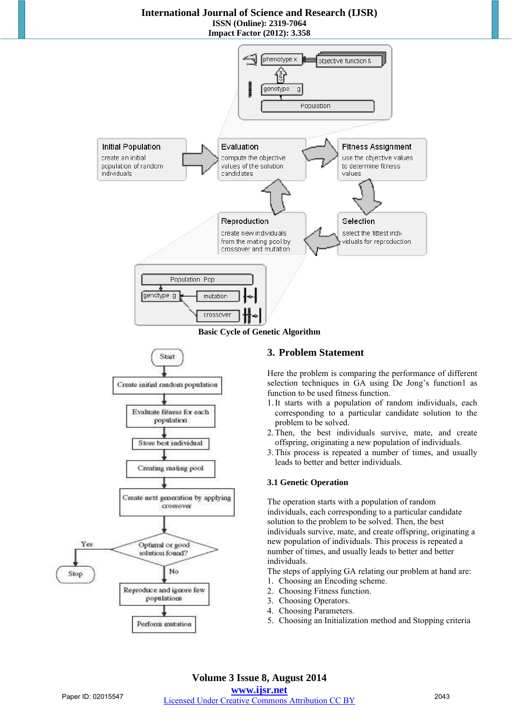#### **International Journal of Science and Research (IJSR) ISSN (Online): 2319-7064 Impact Factor (2012): 3.358**



**Basic Cycle of Genetic Algorithm** 



### **3. Problem Statement**

Here the problem is comparing the performance of different selection techniques in GA using De Jong's function1 as function to be used fitness function.

- 1.It starts with a population of random individuals, each corresponding to a particular candidate solution to the problem to be solved.
- 2.Then, the best individuals survive, mate, and create offspring, originating a new population of individuals.
- 3.This process is repeated a number of times, and usually leads to better and better individuals.

#### **3.1 Genetic Operation**

The operation starts with a population of random individuals, each corresponding to a particular candidate solution to the problem to be solved. Then, the best individuals survive, mate, and create offspring, originating a new population of individuals. This process is repeated a number of times, and usually leads to better and better individuals.

The steps of applying GA relating our problem at hand are:

- 1. Choosing an Encoding scheme.
- 2. Choosing Fitness function.
- 3. Choosing Operators.
- 4. Choosing Parameters.
- 5. Choosing an Initialization method and Stopping criteria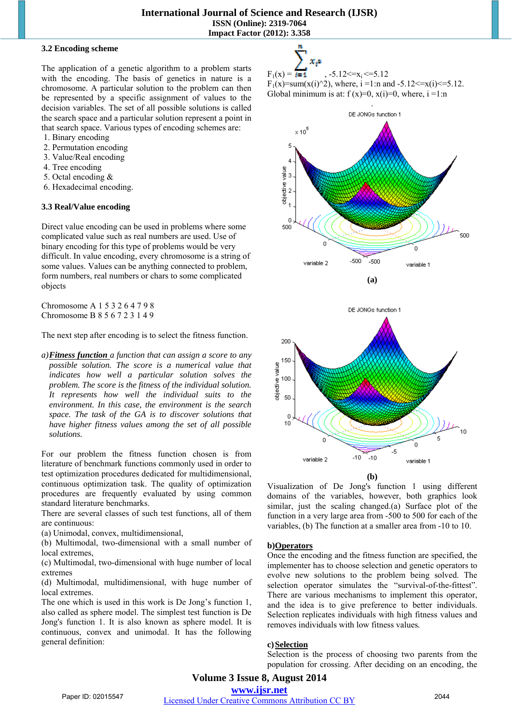#### **3.2 Encoding scheme**

The application of a genetic algorithm to a problem starts with the encoding. The basis of genetics in nature is a chromosome. A particular solution to the problem can then be represented by a specific assignment of values to the decision variables. The set of all possible solutions is called the search space and a particular solution represent a point in that search space. Various types of encoding schemes are:

- 1. Binary encoding
- 2. Permutation encoding
- 3. Value/Real encoding
- 4. Tree encoding
- 5. Octal encoding &
- 6. Hexadecimal encoding.

#### **3.3 Real/Value encoding**

Direct value encoding can be used in problems where some complicated value such as real numbers are used. Use of binary encoding for this type of problems would be very difficult. In value encoding, every chromosome is a string of some values. Values can be anything connected to problem, form numbers, real numbers or chars to some complicated objects

Chromosome A 1 5 3 2 6 4 7 9 8 Chromosome B 8 5 6 7 2 3 1 4 9

The next step after encoding is to select the fitness function.

*a)Fitness function a function that can assign a score to any possible solution. The score is a numerical value that indicates how well a particular solution solves the problem. The score is the fitness of the individual solution. It represents how well the individual suits to the environment. In this case, the environment is the search space. The task of the GA is to discover solutions that have higher fitness values among the set of all possible solutions.* 

For our problem the fitness function chosen is from literature of benchmark functions commonly used in order to test optimization procedures dedicated for multidimensional, continuous optimization task. The quality of optimization procedures are frequently evaluated by using common standard literature benchmarks.

There are several classes of such test functions, all of them are continuous:

(a) Unimodal, convex, multidimensional,

(b) Multimodal, two-dimensional with a small number of local extremes,

(c) Multimodal, two-dimensional with huge number of local extremes

(d) Multimodal, multidimensional, with huge number of local extremes.

The one which is used in this work is De Jong's function 1, also called as sphere model. The simplest test function is De Jong's function 1. It is also known as sphere model. It is continuous, convex and unimodal. It has the following general definition:









Visualization of De Jong's function 1 using different domains of the variables, however, both graphics look similar, just the scaling changed.(a) Surface plot of the function in a very large area from -500 to 500 for each of the variables, (b) The function at a smaller area from -10 to 10.

#### **b)Operators**

Once the encoding and the fitness function are specified, the implementer has to choose selection and genetic operators to evolve new solutions to the problem being solved. The selection operator simulates the "survival-of-the-fittest". There are various mechanisms to implement this operator, and the idea is to give preference to better individuals. Selection replicates individuals with high fitness values and removes individuals with low fitness values*.* 

#### **c)Selection**

Selection is the process of choosing two parents from the population for crossing. After deciding on an encoding, the

**Volume 3 Issue 8, August 2014**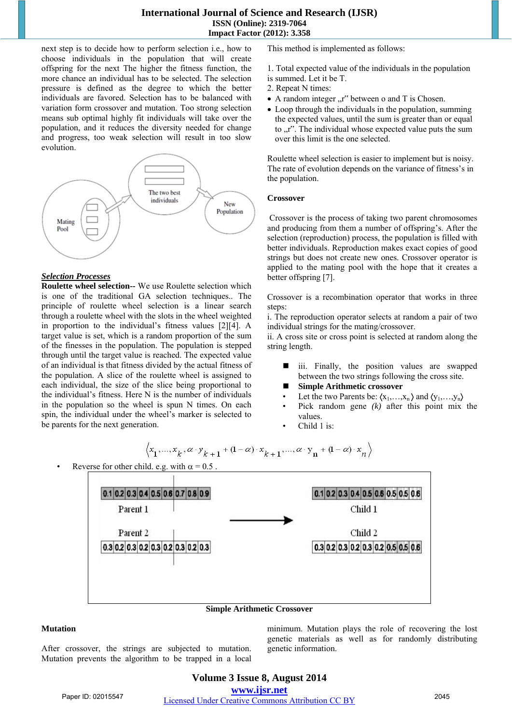next step is to decide how to perform selection i.e., how to choose individuals in the population that will create offspring for the next The higher the fitness function, the more chance an individual has to be selected. The selection pressure is defined as the degree to which the better individuals are favored. Selection has to be balanced with variation form crossover and mutation. Too strong selection means sub optimal highly fit individuals will take over the population, and it reduces the diversity needed for change and progress, too weak selection will result in too slow evolution.



#### *Selection Processes*

**Roulette wheel selection--** We use Roulette selection which is one of the traditional GA selection techniques.. The principle of roulette wheel selection is a linear search through a roulette wheel with the slots in the wheel weighted in proportion to the individual's fitness values [2][4]. A target value is set, which is a random proportion of the sum of the finesses in the population. The population is stepped through until the target value is reached. The expected value of an individual is that fitness divided by the actual fitness of the population. A slice of the roulette wheel is assigned to each individual, the size of the slice being proportional to the individual's fitness. Here N is the number of individuals in the population so the wheel is spun N times. On each spin, the individual under the wheel's marker is selected to be parents for the next generation.

This method is implemented as follows:

- 1. Total expected value of the individuals in the population
- is summed. Let it be T.
- 2. Repeat N times:
- A random integer  $\pi$ " between o and T is Chosen.
- Loop through the individuals in the population, summing the expected values, until the sum is greater than or equal to "r". The individual whose expected value puts the sum over this limit is the one selected.

Roulette wheel selection is easier to implement but is noisy. The rate of evolution depends on the variance of fitness's in the population.

#### **Crossover**

Crossover is the process of taking two parent chromosomes and producing from them a number of offspring's. After the selection (reproduction) process, the population is filled with better individuals. Reproduction makes exact copies of good strings but does not create new ones. Crossover operator is applied to the mating pool with the hope that it creates a better offspring [7].

Crossover is a recombination operator that works in three steps:

i. The reproduction operator selects at random a pair of two individual strings for the mating/crossover.

ii. A cross site or cross point is selected at random along the string length.

- $\blacksquare$  iii. Finally, the position values are swapped between the two strings following the cross site.
- **Simple Arithmetic crossover**
- Let the two Parents be:  $\langle x_1,...,x_n \rangle$  and  $\langle y_1,...,y_n \rangle$
- Pick random gene *(k)* after this point mix the values.
- Child 1 is:

$$
\langle x_1,...,x_k,\alpha \cdot y_{k+1}+(1-\alpha)\cdot x_{k+1},..., \alpha \cdot y_n+(1-\alpha)\cdot x_n \rangle
$$

Reverse for other child. e.g. with  $\alpha = 0.5$ 



**Simple Arithmetic Crossover** 

#### **Mutation**

After crossover, the strings are subjected to mutation. Mutation prevents the algorithm to be trapped in a local minimum. Mutation plays the role of recovering the lost genetic materials as well as for randomly distributing genetic information.